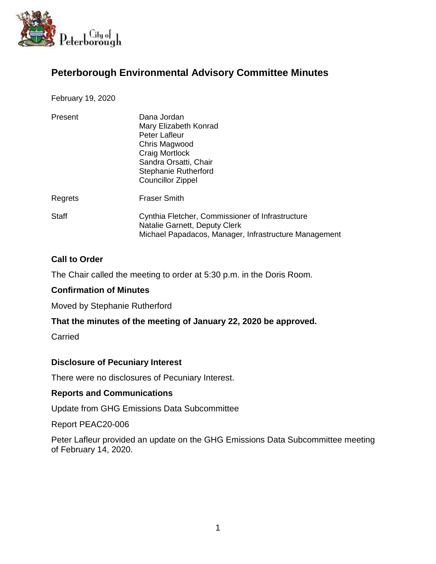

# **Peterborough Environmental Advisory Committee Minutes**

February 19, 2020

| Present | Dana Jordan<br>Mary Elizabeth Konrad<br><b>Peter Lafleur</b><br>Chris Magwood<br>Craig Mortlock<br>Sandra Orsatti, Chair<br>Stephanie Rutherford<br><b>Councillor Zippel</b> |
|---------|------------------------------------------------------------------------------------------------------------------------------------------------------------------------------|
| Regrets | <b>Fraser Smith</b>                                                                                                                                                          |
| Staff   | Cynthia Fletcher, Commissioner of Infrastructure<br>Natalie Garnett, Deputy Clerk<br>Michael Papadacos, Manager, Infrastructure Management                                   |

## **Call to Order**

The Chair called the meeting to order at 5:30 p.m. in the Doris Room.

## **Confirmation of Minutes**

Moved by Stephanie Rutherford

## **That the minutes of the meeting of January 22, 2020 be approved.**

**Carried** 

## **Disclosure of Pecuniary Interest**

There were no disclosures of Pecuniary Interest.

## **Reports and Communications**

Update from GHG Emissions Data Subcommittee

Report PEAC20-006

Peter Lafleur provided an update on the GHG Emissions Data Subcommittee meeting of February 14, 2020.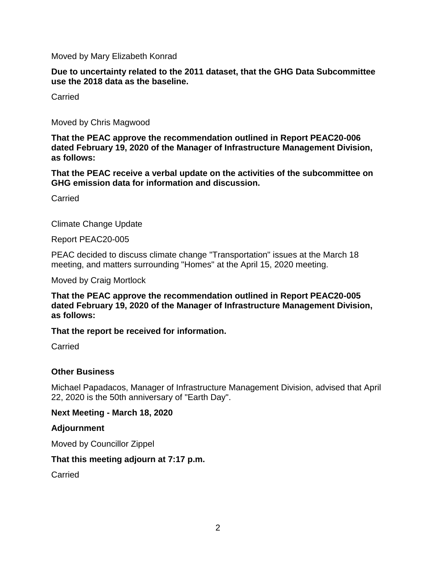Moved by Mary Elizabeth Konrad

**Due to uncertainty related to the 2011 dataset, that the GHG Data Subcommittee use the 2018 data as the baseline.**

Carried

Moved by Chris Magwood

**That the PEAC approve the recommendation outlined in Report PEAC20-006 dated February 19, 2020 of the Manager of Infrastructure Management Division, as follows:**

**That the PEAC receive a verbal update on the activities of the subcommittee on GHG emission data for information and discussion.**

**Carried** 

Climate Change Update

Report PEAC20-005

PEAC decided to discuss climate change "Transportation" issues at the March 18 meeting, and matters surrounding "Homes" at the April 15, 2020 meeting.

Moved by Craig Mortlock

**That the PEAC approve the recommendation outlined in Report PEAC20-005 dated February 19, 2020 of the Manager of Infrastructure Management Division, as follows:**

**That the report be received for information.**

Carried

## **Other Business**

Michael Papadacos, Manager of Infrastructure Management Division, advised that April 22, 2020 is the 50th anniversary of "Earth Day".

## **Next Meeting - March 18, 2020**

## **Adjournment**

Moved by Councillor Zippel

## **That this meeting adjourn at 7:17 p.m.**

Carried